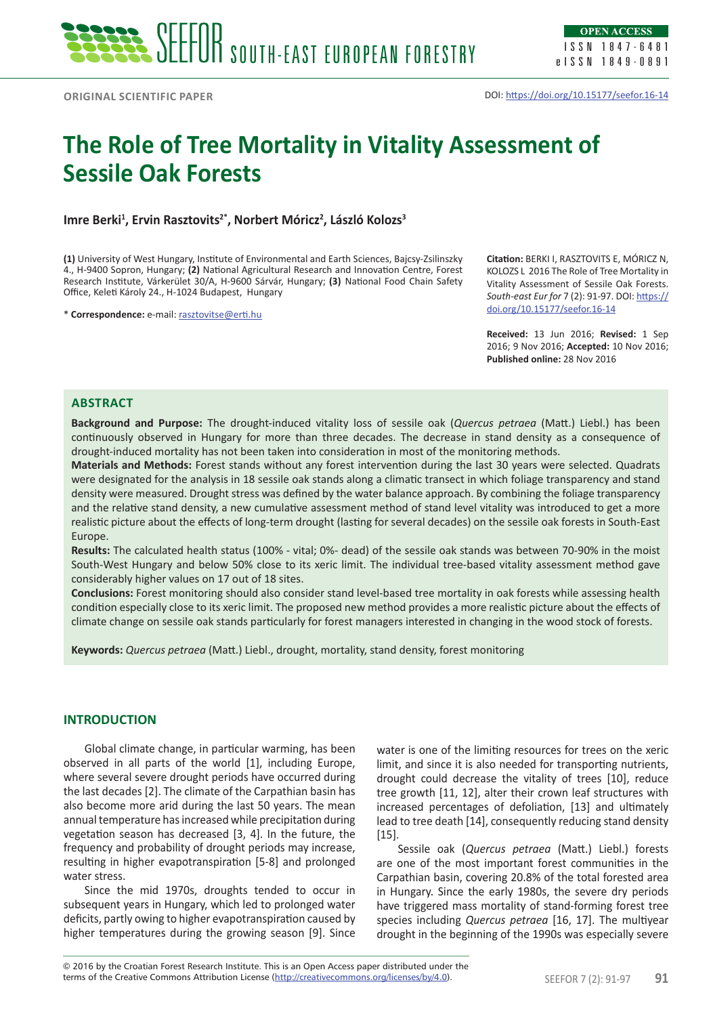The Role of Tree Mortality in Vitality Assessment of Sessile Oak Forests ISSN 1847-6481 eISSN 1849-0891

# **The Role of Tree Mortality in Vitality Assessment of Sessile Oak Forests**

Imre Berki<sup>1</sup>, Ervin Rasztovits<sup>2\*</sup>, Norbert Móricz<sup>2</sup>, László Kolozs<sup>3</sup>

**(1)** University of West Hungary, Institute of Environmental and Earth Sciences, Bajcsy-Zsilinszky 4., H-9400 Sopron, Hungary; **(2)** National Agricultural Research and Innovation Centre, Forest Research Institute, Várkerület 30/A, H-9600 Sárvár, Hungary; **(3)** National Food Chain Safety Office, Keleti Károly 24., H-1024 Budapest, Hungary

\* **Correspondence:** e-mail: rasztovitse@erti.hu

**Citation:** BERKI I, RASZTOVITS E, MÓRICZ N, KOLOZS L 2016 The Role of Tree Mortality in Vitality Assessment of Sessile Oak Forests. *South-east Eur for* 7 (2): 91-97. DOI: https:// doi.org/10.15177/seefor.16-14

**Received:** 13 Jun 2016; **Revised:** 1 Sep 2016; 9 Nov 2016; **Accepted:** 10 Nov 2016; **Published online:** 28 Nov 2016

### **ABSTRACT**

**Background and Purpose:** The drought-induced vitality loss of sessile oak (*Quercus petraea* (Matt.) Liebl.) has been continuously observed in Hungary for more than three decades. The decrease in stand density as a consequence of drought-induced mortality has not been taken into consideration in most of the monitoring methods.

**Materials and Methods:** Forest stands without any forest intervention during the last 30 years were selected. Quadrats were designated for the analysis in 18 sessile oak stands along a climatic transect in which foliage transparency and stand density were measured. Drought stress was defined by the water balance approach. By combining the foliage transparency and the relative stand density, a new cumulative assessment method of stand level vitality was introduced to get a more realistic picture about the effects of long-term drought (lasting for several decades) on the sessile oak forests in South-East Europe.

**Results:** The calculated health status (100% - vital; 0%- dead) of the sessile oak stands was between 70-90% in the moist South-West Hungary and below 50% close to its xeric limit. The individual tree-based vitality assessment method gave considerably higher values on 17 out of 18 sites.

**Conclusions:** Forest monitoring should also consider stand level-based tree mortality in oak forests while assessing health condition especially close to its xeric limit. The proposed new method provides a more realistic picture about the effects of climate change on sessile oak stands particularly for forest managers interested in changing in the wood stock of forests.

**Keywords:** *Quercus petraea* (Matt.) Liebl., drought, mortality, stand density, forest monitoring

# **INTRODUCTION**

Global climate change, in particular warming, has been observed in all parts of the world [1], including Europe, where several severe drought periods have occurred during the last decades [2]. The climate of the Carpathian basin has also become more arid during the last 50 years. The mean annual temperature has increased while precipitation during vegetation season has decreased [3, 4]. In the future, the frequency and probability of drought periods may increase, resulting in higher evapotranspiration [5-8] and prolonged water stress.

Since the mid 1970s, droughts tended to occur in subsequent years in Hungary, which led to prolonged water deficits, partly owing to higher evapotranspiration caused by higher temperatures during the growing season [9]. Since

water is one of the limiting resources for trees on the xeric limit, and since it is also needed for transporting nutrients, drought could decrease the vitality of trees [10], reduce tree growth [11, 12], alter their crown leaf structures with increased percentages of defoliation, [13] and ultimately lead to tree death [14], consequently reducing stand density [15].

Sessile oak (*Quercus petraea* (Matt.) Liebl.) forests are one of the most important forest communities in the Carpathian basin, covering 20.8% of the total forested area in Hungary. Since the early 1980s, the severe dry periods have triggered mass mortality of stand-forming forest tree species including *Quercus petraea* [16, 17]. The multiyear drought in the beginning of the 1990s was especially severe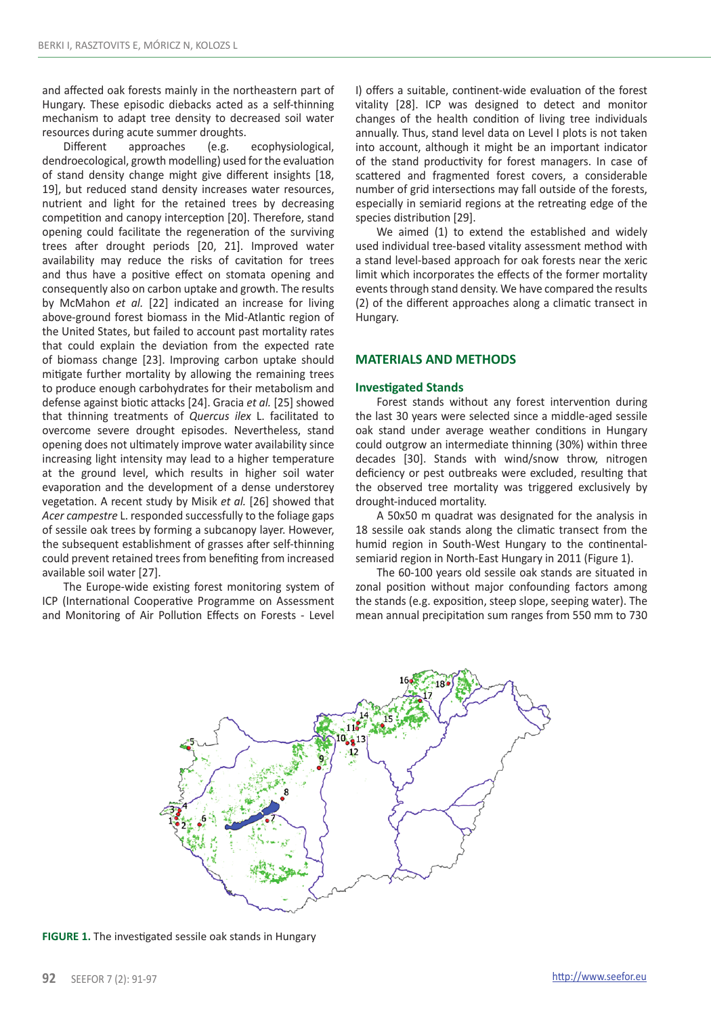and affected oak forests mainly in the northeastern part of Hungary. These episodic diebacks acted as a self-thinning mechanism to adapt tree density to decreased soil water resources during acute summer droughts.

Different approaches (e.g. ecophysiological, dendroecological, growth modelling) used for the evaluation of stand density change might give different insights [18, 19], but reduced stand density increases water resources, nutrient and light for the retained trees by decreasing competition and canopy interception [20]. Therefore, stand opening could facilitate the regeneration of the surviving trees after drought periods [20, 21]. Improved water availability may reduce the risks of cavitation for trees and thus have a positive effect on stomata opening and consequently also on carbon uptake and growth. The results by McMahon *et al.* [22] indicated an increase for living above-ground forest biomass in the Mid-Atlantic region of the United States, but failed to account past mortality rates that could explain the deviation from the expected rate of biomass change [23]. Improving carbon uptake should mitigate further mortality by allowing the remaining trees to produce enough carbohydrates for their metabolism and defense against biotic attacks [24]. Gracia *et al.* [25] showed that thinning treatments of *Quercus ilex* L. facilitated to overcome severe drought episodes. Nevertheless, stand opening does not ultimately improve water availability since increasing light intensity may lead to a higher temperature at the ground level, which results in higher soil water evaporation and the development of a dense understorey vegetation. A recent study by Misik *et al.* [26] showed that *Acer campestre* L. responded successfully to the foliage gaps of sessile oak trees by forming a subcanopy layer. However, the subsequent establishment of grasses after self-thinning could prevent retained trees from benefiting from increased available soil water [27].

The Europe-wide existing forest monitoring system of ICP (International Cooperative Programme on Assessment and Monitoring of Air Pollution Effects on Forests - Level I) offers a suitable, continent-wide evaluation of the forest vitality [28]. ICP was designed to detect and monitor changes of the health condition of living tree individuals annually. Thus, stand level data on Level I plots is not taken into account, although it might be an important indicator of the stand productivity for forest managers. In case of scattered and fragmented forest covers, a considerable number of grid intersections may fall outside of the forests, especially in semiarid regions at the retreating edge of the species distribution [29].

We aimed (1) to extend the established and widely used individual tree-based vitality assessment method with a stand level-based approach for oak forests near the xeric limit which incorporates the effects of the former mortality events through stand density. We have compared the results (2) of the different approaches along a climatic transect in Hungary.

### **MATERIALS AND METHODS**

### **Investigated Stands**

Forest stands without any forest intervention during the last 30 years were selected since a middle-aged sessile oak stand under average weather conditions in Hungary could outgrow an intermediate thinning (30%) within three decades [30]. Stands with wind/snow throw, nitrogen deficiency or pest outbreaks were excluded, resulting that the observed tree mortality was triggered exclusively by drought-induced mortality.

A 50x50 m quadrat was designated for the analysis in 18 sessile oak stands along the climatic transect from the humid region in South-West Hungary to the continentalsemiarid region in North-East Hungary in 2011 (Figure 1).

The 60-100 years old sessile oak stands are situated in zonal position without major confounding factors among the stands (e.g. exposition, steep slope, seeping water). The mean annual precipitation sum ranges from 550 mm to 730



**FIGURE 1.** The investigated sessile oak stands in Hungary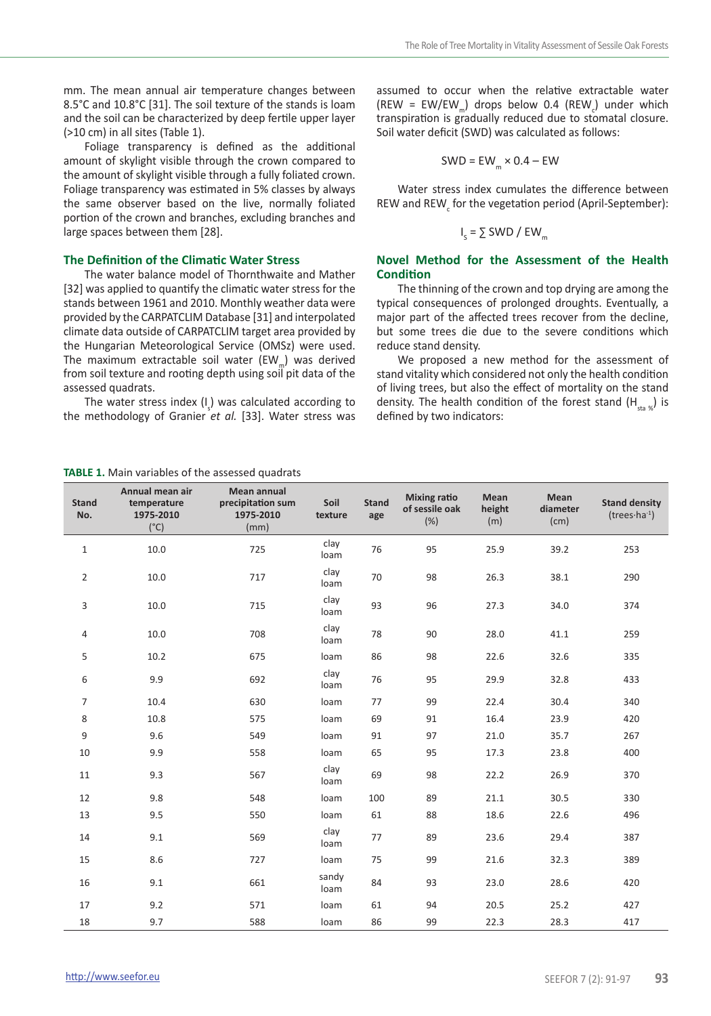mm. The mean annual air temperature changes between 8.5°C and 10.8°C [31]. The soil texture of the stands is loam and the soil can be characterized by deep fertile upper layer (>10 cm) in all sites (Table 1).

Foliage transparency is defined as the additional amount of skylight visible through the crown compared to the amount of skylight visible through a fully foliated crown. Foliage transparency was estimated in 5% classes by always the same observer based on the live, normally foliated portion of the crown and branches, excluding branches and large spaces between them [28].

### **The Definition of the Climatic Water Stress**

The water balance model of Thornthwaite and Mather [32] was applied to quantify the climatic water stress for the stands between 1961 and 2010. Monthly weather data were provided by the CARPATCLIM Database [31] and interpolated climate data outside of CARPATCLIM target area provided by the Hungarian Meteorological Service (OMSz) were used. The maximum extractable soil water ( $EW_{m}$ ) was derived from soil texture and rooting depth using soil pit data of the assessed quadrats.

The water stress index  $(I_s)$  was calculated according to the methodology of Granier *et al.* [33]. Water stress was

**TABLE 1.** Main variables of the assessed quadrats

assumed to occur when the relative extractable water (REW = EW/EW<sub>m</sub>) drops below 0.4 (REW<sub>c</sub>) under which transpiration is gradually reduced due to stomatal closure. Soil water deficit (SWD) was calculated as follows:

$$
SWD = EW_{m} \times 0.4 - EW
$$

Water stress index cumulates the difference between REW and  $\text{REW}_{c}$  for the vegetation period (April-September):

$$
I_s = \sum SWD / EW_m
$$

### **Novel Method for the Assessment of the Health Condition**

The thinning of the crown and top drying are among the typical consequences of prolonged droughts. Eventually, a major part of the affected trees recover from the decline, but some trees die due to the severe conditions which reduce stand density.

We proposed a new method for the assessment of stand vitality which considered not only the health condition of living trees, but also the effect of mortality on the stand density. The health condition of the forest stand  $(H_{\text{max}})$  is defined by two indicators:

| <b>Stand</b><br>No. | Annual mean air<br>temperature<br>1975-2010<br>$(^{\circ}C)$ | Mean annual<br>precipitation sum<br>1975-2010<br>(mm) | Soil<br>texture | <b>Stand</b><br>age | <b>Mixing ratio</b><br>of sessile oak<br>(%) | Mean<br>height<br>(m) | Mean<br>diameter<br>(cm) | <b>Stand density</b><br>$(trees·ha-1)$ |
|---------------------|--------------------------------------------------------------|-------------------------------------------------------|-----------------|---------------------|----------------------------------------------|-----------------------|--------------------------|----------------------------------------|
| $1\,$               | 10.0                                                         | 725                                                   | clay<br>loam    | 76                  | 95                                           | 25.9                  | 39.2                     | 253                                    |
| 2                   | 10.0                                                         | 717                                                   | clay<br>loam    | 70                  | 98                                           | 26.3                  | 38.1                     | 290                                    |
| 3                   | 10.0                                                         | 715                                                   | clay<br>loam    | 93                  | 96                                           | 27.3                  | 34.0                     | 374                                    |
| 4                   | 10.0                                                         | 708                                                   | clay<br>loam    | 78                  | 90                                           | 28.0                  | 41.1                     | 259                                    |
| 5                   | 10.2                                                         | 675                                                   | loam            | 86                  | 98                                           | 22.6                  | 32.6                     | 335                                    |
| 6                   | 9.9                                                          | 692                                                   | clay<br>loam    | 76                  | 95                                           | 29.9                  | 32.8                     | 433                                    |
| $\overline{7}$      | 10.4                                                         | 630                                                   | loam            | 77                  | 99                                           | 22.4                  | 30.4                     | 340                                    |
| 8                   | 10.8                                                         | 575                                                   | loam            | 69                  | 91                                           | 16.4                  | 23.9                     | 420                                    |
| 9                   | 9.6                                                          | 549                                                   | loam            | 91                  | 97                                           | 21.0                  | 35.7                     | 267                                    |
| 10                  | 9.9                                                          | 558                                                   | loam            | 65                  | 95                                           | 17.3                  | 23.8                     | 400                                    |
| 11                  | 9.3                                                          | 567                                                   | clay<br>loam    | 69                  | 98                                           | 22.2                  | 26.9                     | 370                                    |
| 12                  | 9.8                                                          | 548                                                   | loam            | 100                 | 89                                           | 21.1                  | 30.5                     | 330                                    |
| 13                  | 9.5                                                          | 550                                                   | loam            | 61                  | 88                                           | 18.6                  | 22.6                     | 496                                    |
| 14                  | 9.1                                                          | 569                                                   | clay<br>loam    | 77                  | 89                                           | 23.6                  | 29.4                     | 387                                    |
| 15                  | 8.6                                                          | 727                                                   | loam            | 75                  | 99                                           | 21.6                  | 32.3                     | 389                                    |
| 16                  | 9.1                                                          | 661                                                   | sandy<br>loam   | 84                  | 93                                           | 23.0                  | 28.6                     | 420                                    |
| 17                  | 9.2                                                          | 571                                                   | loam            | 61                  | 94                                           | 20.5                  | 25.2                     | 427                                    |
| 18                  | 9.7                                                          | 588                                                   | loam            | 86                  | 99                                           | 22.3                  | 28.3                     | 417                                    |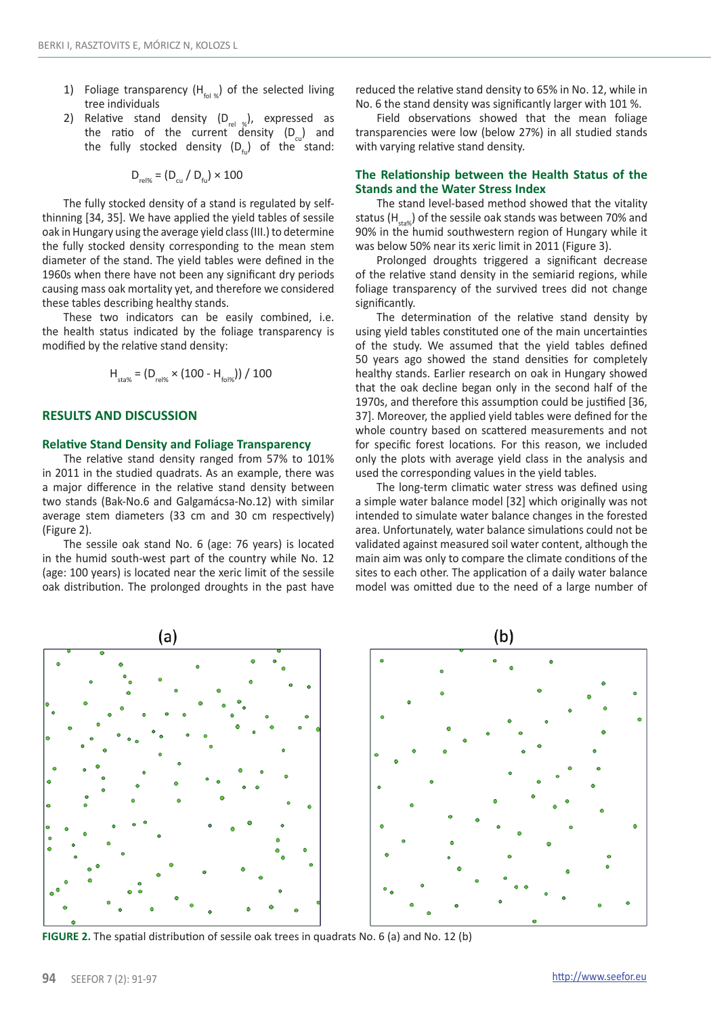- 1) Foliage transparency  $(H_{\text{rel}})$  of the selected living tree individuals
- 2) Relative stand density  $(D_{rel-x}^{\prime})$ , expressed as the ratio of the current density  $(D_n)$  and the fully stocked density  $(D_{\epsilon})$  of the stand:

$$
D_{\text{rel}\%} = (D_{\text{cu}} / D_{\text{fu}}) \times 100
$$

The fully stocked density of a stand is regulated by selfthinning [34, 35]. We have applied the yield tables of sessile oak in Hungary using the average yield class (III.) to determine the fully stocked density corresponding to the mean stem diameter of the stand. The yield tables were defined in the 1960s when there have not been any significant dry periods causing mass oak mortality yet, and therefore we considered these tables describing healthy stands.

These two indicators can be easily combined, i.e. the health status indicated by the foliage transparency is modified by the relative stand density:

$$
H_{\text{sta}\%} = (D_{\text{rel}\%} \times (100 - H_{\text{fol}\%})) / 100
$$

### **RESULTS AND DISCUSSION**

### **Relative Stand Density and Foliage Transparency**

The relative stand density ranged from 57% to 101% in 2011 in the studied quadrats. As an example, there was a major difference in the relative stand density between two stands (Bak-No.6 and Galgamácsa-No.12) with similar average stem diameters (33 cm and 30 cm respectively) (Figure 2).

The sessile oak stand No. 6 (age: 76 years) is located in the humid south-west part of the country while No. 12 (age: 100 years) is located near the xeric limit of the sessile oak distribution. The prolonged droughts in the past have

reduced the relative stand density to 65% in No. 12, while in No. 6 the stand density was significantly larger with 101 %.

Field observations showed that the mean foliage transparencies were low (below 27%) in all studied stands with varying relative stand density.

## **The Relationship between the Health Status of the Stands and the Water Stress Index**

The stand level-based method showed that the vitality status (H<sub>sta</sub>) of the sessile oak stands was between 70% and 90% in the humid southwestern region of Hungary while it was below 50% near its xeric limit in 2011 (Figure 3).

Prolonged droughts triggered a significant decrease of the relative stand density in the semiarid regions, while foliage transparency of the survived trees did not change significantly.

The determination of the relative stand density by using yield tables constituted one of the main uncertainties of the study. We assumed that the yield tables defined 50 years ago showed the stand densities for completely healthy stands. Earlier research on oak in Hungary showed that the oak decline began only in the second half of the 1970s, and therefore this assumption could be justified [36, 37]. Moreover, the applied yield tables were defined for the whole country based on scattered measurements and not for specific forest locations. For this reason, we included only the plots with average yield class in the analysis and used the corresponding values in the yield tables.

The long-term climatic water stress was defined using a simple water balance model [32] which originally was not intended to simulate water balance changes in the forested area. Unfortunately, water balance simulations could not be validated against measured soil water content, although the main aim was only to compare the climate conditions of the sites to each other. The application of a daily water balance model was omitted due to the need of a large number of



**FIGURE 2.** The spatial distribution of sessile oak trees in quadrats No. 6 (a) and No. 12 (b)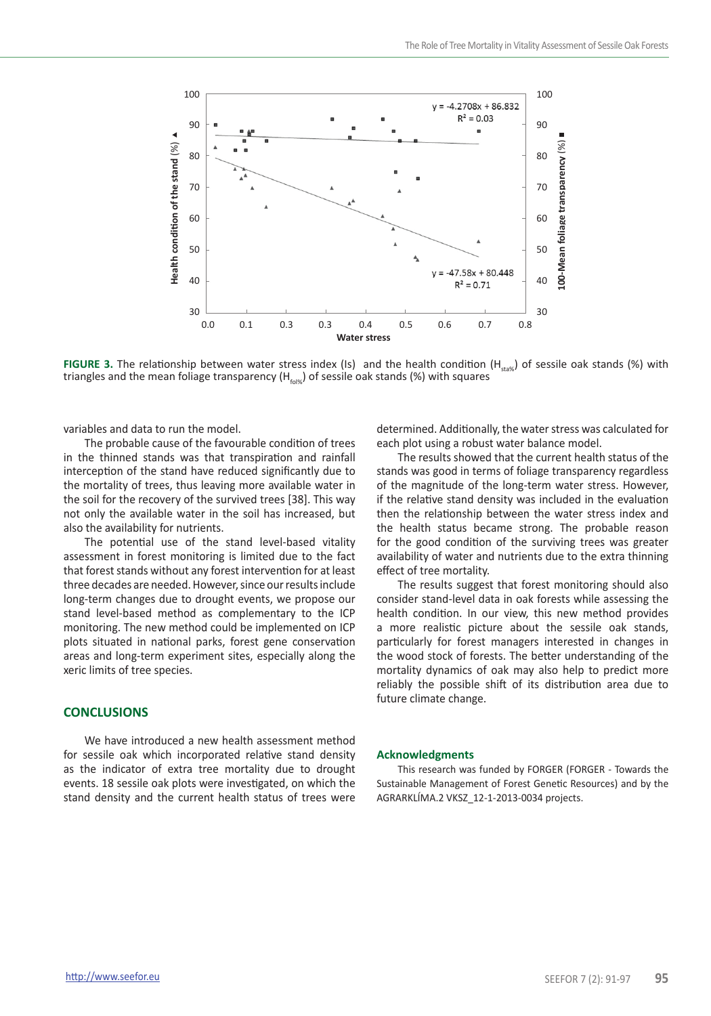

**FIGURE 3.** The relationship between water stress index (Is) and the health condition (H<sub>sta%</sub>) of sessile oak stands (%) with triangles and the mean foliage transparency (H<sub>cisw</sub>) of sessile oak stands (%) with

variables and data to run the model.

The probable cause of the favourable condition of trees in the thinned stands was that transpiration and rainfall interception of the stand have reduced significantly due to the mortality of trees, thus leaving more available water in the soil for the recovery of the survived trees [38]. This way not only the available water in the soil has increased, but also the availability for nutrients.

The potential use of the stand level-based vitality assessment in forest monitoring is limited due to the fact that forest stands without any forest intervention for at least three decades are needed. However, since our results include long-term changes due to drought events, we propose our stand level-based method as complementary to the ICP monitoring. The new method could be implemented on ICP plots situated in national parks, forest gene conservation areas and long-term experiment sites, especially along the xeric limits of tree species.

### **CONCLUSIONS**

We have introduced a new health assessment method for sessile oak which incorporated relative stand density as the indicator of extra tree mortality due to drought events. 18 sessile oak plots were investigated, on which the stand density and the current health status of trees were

determined. Additionally, the water stress was calculated for each plot using a robust water balance model.

The results showed that the current health status of the stands was good in terms of foliage transparency regardless of the magnitude of the long-term water stress. However, if the relative stand density was included in the evaluation then the relationship between the water stress index and the health status became strong. The probable reason for the good condition of the surviving trees was greater availability of water and nutrients due to the extra thinning effect of tree mortality.

The results suggest that forest monitoring should also consider stand-level data in oak forests while assessing the health condition. In our view, this new method provides a more realistic picture about the sessile oak stands, particularly for forest managers interested in changes in the wood stock of forests. The better understanding of the mortality dynamics of oak may also help to predict more reliably the possible shift of its distribution area due to future climate change.

### **Acknowledgments**

This research was funded by FORGER (FORGER - Towards the Sustainable Management of Forest Genetic Resources) and by the AGRARKLÍMA.2 VKSZ\_12-1-2013-0034 projects.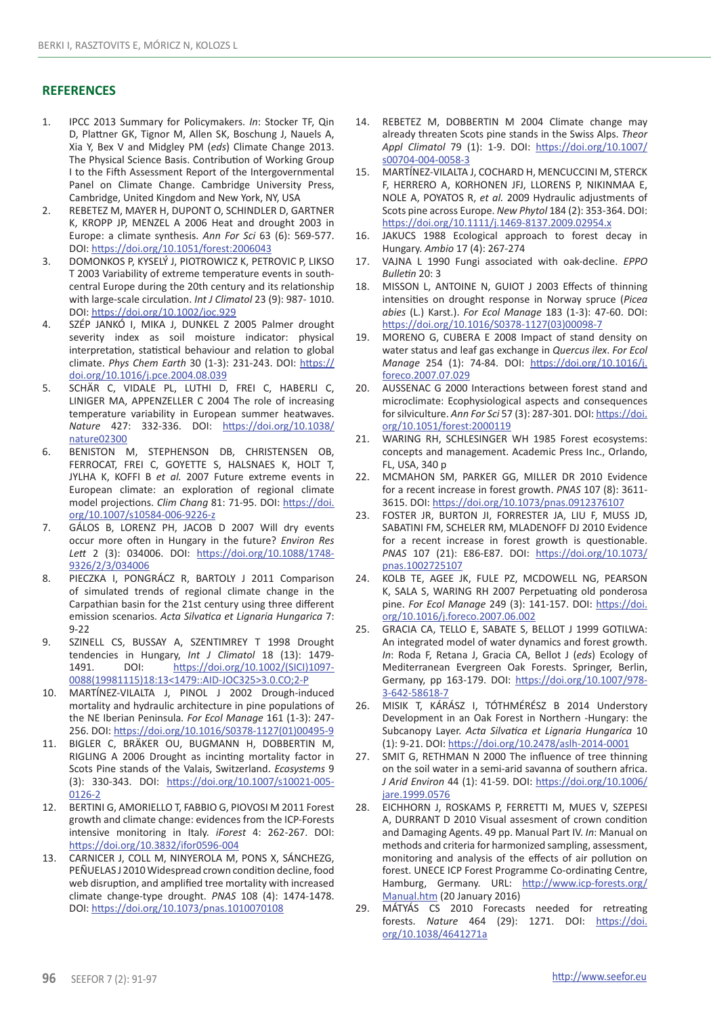### **REFERENCES**

- 1. IPCC 2013 Summary for Policymakers. *In*: Stocker TF, Qin D, Plattner GK, Tignor M, Allen SK, Boschung J, Nauels A, Xia Y, Bex V and Midgley PM (*eds*) Climate Change 2013. The Physical Science Basis. Contribution of Working Group I to the Fifth Assessment Report of the Intergovernmental Panel on Climate Change. Cambridge University Press, Cambridge, United Kingdom and New York, NY, USA
- 2. REBETEZ M, MAYER H, DUPONT O, SCHINDLER D, GARTNER K, KROPP JP, MENZEL A 2006 Heat and drought 2003 in Europe: a climate synthesis. *Ann For Sci* 63 (6): 569-577. DOI: https://doi.org/10.1051/forest:2006043
- 3. DOMONKOS P, KYSELÝ J, PIOTROWICZ K, PETROVIC P, LIKSO T 2003 Variability of extreme temperature events in southcentral Europe during the 20th century and its relationship with large-scale circulation. *Int J Climatol* 23 (9): 987- 1010. DOI: https://doi.org/10.1002/joc.929
- 4. SZÉP JANKÓ I, MIKA J, DUNKEL Z 2005 Palmer drought severity index as soil moisture indicator: physical interpretation, statistical behaviour and relation to global climate. *Phys Chem Earth* 30 (1-3): 231-243. DOI: https:// doi.org/10.1016/j.pce.2004.08.039
- 5. SCHÄR C, VIDALE PL, LUTHI D, FREI C, HABERLI C, LINIGER MA, APPENZELLER C 2004 The role of increasing temperature variability in European summer heatwaves. *Nature* 427: 332-336. DOI: https://doi.org/10.1038/ nature02300
- 6. BENISTON M, STEPHENSON DB, CHRISTENSEN OB, FERROCAT, FREI C, GOYETTE S, HALSNAES K, HOLT T, JYLHA K, KOFFI B *et al.* 2007 Future extreme events in European climate: an exploration of regional climate model projections. *Clim Chang* 81: 71-95. DOI: https://doi. org/10.1007/s10584-006-9226-z
- 7. GÁLOS B, LORENZ PH, JACOB D 2007 Will dry events occur more often in Hungary in the future? *Environ Res Lett* 2 (3): 034006. DOI: https://doi.org/10.1088/1748- 9326/2/3/034006
- 8. PIECZKA I, PONGRÁCZ R, BARTOLY J 2011 Comparison of simulated trends of regional climate change in the Carpathian basin for the 21st century using three different emission scenarios. *Acta Silvatica et Lignaria Hungarica* 7: 9-22
- 9. SZINELL CS, BUSSAY A, SZENTIMREY T 1998 Drought tendencies in Hungary, *Int J Climatol* 18 (13): 1479- 1491. DOI: https://doi.org/10.1002/(SICI)1097- 0088(19981115)18:13<1479::AID-JOC325>3.0.CO;2-P
- 10. MARTÍNEZ-VILALTA J, PINOL J 2002 Drough-induced mortality and hydraulic architecture in pine populations of the NE Iberian Peninsula*. For Ecol Manage* 161 (1-3): 247- 256. DOI: https://doi.org/10.1016/S0378-1127(01)00495-9
- 11. BIGLER C, BRÄKER OU, BUGMANN H, DOBBERTIN M, RIGLING A 2006 Drought as incinting mortality factor in Scots Pine stands of the Valais, Switzerland. *Ecosystems* 9 (3): 330-343. DOI: https://doi.org/10.1007/s10021-005- 0126-2
- 12. BERTINI G, AMORIELLO T, FABBIO G, PIOVOSI M 2011 Forest growth and climate change: evidences from the ICP-Forests intensive monitoring in Italy. *iForest* 4: 262-267. DOI: https://doi.org/10.3832/ifor0596-004
- 13. CARNICER J, COLL M, NINYEROLA M, PONS X, SÁNCHEZG, PEÑUELAS J 2010 Widespread crown condition decline, food web disruption, and amplified tree mortality with increased climate change-type drought. *PNAS* 108 (4): 1474-1478. DOI: https://doi.org/10.1073/pnas.1010070108
- 14. REBETEZ M, DOBBERTIN M 2004 Climate change may already threaten Scots pine stands in the Swiss Alps. *Theor Appl Climatol* 79 (1): 1-9. DOI: https://doi.org/10.1007/ s00704-004-0058-3
- 15. MARTÍNEZ-VILALTA J, COCHARD H, MENCUCCINI M, STERCK F, HERRERO A, KORHONEN JFJ, LLORENS P, NIKINMAA E, NOLE A, POYATOS R, *et al.* 2009 Hydraulic adjustments of Scots pine across Europe. *New Phytol* 184 (2): 353-364. DOI: https://doi.org/10.1111/j.1469-8137.2009.02954.x
- 16. JAKUCS 1988 Ecological approach to forest decay in Hungary. *Ambio* 17 (4): 267-274
- 17. VAJNA L 1990 Fungi associated with oak-decline. *EPPO Bulletin* 20: 3
- 18. MISSON L, ANTOINE N, GUIOT J 2003 Effects of thinning intensities on drought response in Norway spruce (*Picea abies* (L.) Karst.). *For Ecol Manage* 183 (1-3): 47-60. DOI: https://doi.org/10.1016/S0378-1127(03)00098-7
- 19. MORENO G, CUBERA E 2008 Impact of stand density on water status and leaf gas exchange in *Quercus ilex*. *For Ecol Manage* 254 (1): 74-84. DOI: https://doi.org/10.1016/j. foreco.2007.07.029
- 20. AUSSENAC G 2000 Interactions between forest stand and microclimate: Ecophysiological aspects and consequences for silviculture. *Ann For Sci* 57 (3): 287-301. DOI: https://doi. org/10.1051/forest:2000119
- 21. WARING RH, SCHLESINGER WH 1985 Forest ecosystems: concepts and management. Academic Press Inc., Orlando, FL, USA, 340 p
- 22. MCMAHON SM, PARKER GG, MILLER DR 2010 Evidence for a recent increase in forest growth. *PNAS* 107 (8): 3611- 3615. DOI: https://doi.org/10.1073/pnas.0912376107
- 23. FOSTER JR, BURTON JI, FORRESTER JA, LIU F, MUSS JD, SABATINI FM, SCHELER RM, MLADENOFF DJ 2010 Evidence for a recent increase in forest growth is questionable. *PNAS* 107 (21): E86-E87. DOI: https://doi.org/10.1073/ pnas.1002725107
- 24. KOLB TE, AGEE JK, FULE PZ, MCDOWELL NG, PEARSON K, SALA S, WARING RH 2007 Perpetuating old ponderosa pine. *For Ecol Manage* 249 (3): 141-157. DOI: https://doi. org/10.1016/j.foreco.2007.06.002
- 25. GRACIA CA, TELLO E, SABATE S, BELLOT J 1999 GOTILWA: An integrated model of water dynamics and forest growth. *In*: Roda F, Retana J, Gracia CA, Bellot J (*eds*) Ecology of Mediterranean Evergreen Oak Forests. Springer, Berlin, Germany, pp 163-179. DOI: https://doi.org/10.1007/978- 3-642-58618-7
- 26. MISIK T, KÁRÁSZ I, TÓTHMÉRÉSZ B 2014 Understory Development in an Oak Forest in Northern -Hungary: the Subcanopy Layer. *Acta Silvatica et Lignaria Hungarica* 10 (1): 9-21. DOI: https://doi.org/10.2478/aslh-2014-0001
- 27. SMIT G, RETHMAN N 2000 The influence of tree thinning on the soil water in a semi-arid savanna of southern africa. *J Arid Environ* 44 (1): 41-59. DOI: https://doi.org/10.1006/ jare.1999.0576
- 28. EICHHORN J, ROSKAMS P, FERRETTI M, MUES V, SZEPESI A, DURRANT D 2010 Visual assesment of crown condition and Damaging Agents. 49 pp. Manual Part IV. *In*: Manual on methods and criteria for harmonized sampling, assessment, monitoring and analysis of the effects of air pollution on forest. UNECE ICP Forest Programme Co-ordinating Centre, Hamburg, Germany. URL: http://www.icp-forests.org/ Manual.htm (20 January 2016)
- 29. MÁTYÁS CS 2010 Forecasts needed for retreating forests. *Nature* 464 (29): 1271. DOI: https://doi. org/10.1038/4641271a